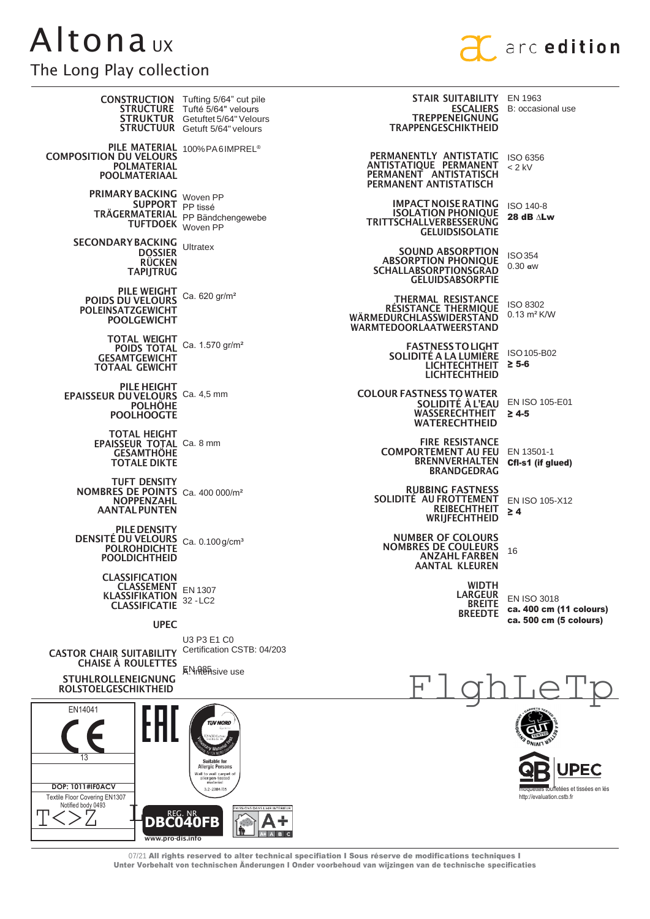## **Altonaux** The Long Play collection



| THE LUTTY LIAY CUTTECHULL                                                                                        |                                                                                                                                                                |                                                                                                                     |                                                                         |
|------------------------------------------------------------------------------------------------------------------|----------------------------------------------------------------------------------------------------------------------------------------------------------------|---------------------------------------------------------------------------------------------------------------------|-------------------------------------------------------------------------|
|                                                                                                                  | <b>CONSTRUCTION</b> Tufting 5/64" cut pile<br><b>STRUCTURE</b> Tufté 5/64" velours<br><b>STRUKTUR</b> Getuftet 5/64" Velours<br>STRUCTUUR Getuft 5/64" velours | <b>STAIR SUITABILITY EN 1963</b><br><b>TREPPENEIGNUNG</b><br><b>TRAPPENGESCHIKTHEID</b>                             | <b>ESCALIERS</b> B: occasional use                                      |
| <b>COMPOSITION DU VELOURS</b><br><b>POLMATERIAL</b><br><b>POOLMATERIAAL</b>                                      | PILE MATERIAL 100% PA6IMPREL®                                                                                                                                  | PERMANENTLY ANTISTATIC<br>ANTISTATIQUE PERMANENT<br>PERMANENT ANTISTATISCH<br>PERMANENT ANTISTATISCH                | ISO 6356<br>$< 2$ kV                                                    |
| PRIMARY BACKING Woven PP<br>SUPPORT <sub>PP tissé</sub><br>TUFTDOEK Woven PP                                     | TRÄGERMATERIAL PP Bändchengewebe                                                                                                                               | <b>IMPACT NOISE RATING</b><br><b>ISOLATION PHONIQUE</b><br><b>TRITTSCHALLVERBESSERUNG</b><br><b>GELUIDSISOLATIE</b> | ISO 140-8<br>28 dB $\Lambda$ Lw                                         |
| <b>SECONDARY BACKING Ultratex</b><br><b>DOSSIER</b><br><b>RÜCKEN</b><br><b>TAPIJTRUG</b>                         |                                                                                                                                                                | <b>SOUND ABSORPTION</b><br><b>ABSORPTION PHONIQUE</b><br><b>SCHALLABSORPTIONSGRAD</b><br><b>GELUIDSABSORPTIE</b>    | <b>ISO354</b><br>$0.30$ aw                                              |
| <b>PILE WEIGHT</b><br><b>POIDS DU VELOURS</b><br><b>POLEINSATZGEWICHT</b><br><b>POOLGEWICHT</b>                  | Ca. 620 gr/m <sup>2</sup>                                                                                                                                      | <b>THERMAL RESISTANCE</b><br>RÉSISTANCE THERMIQUE<br>WÄRMEDURCHLASSWIDERSTAND<br>WARMTEDOORLAATWEERSTAND            | ISO 8302<br>$0.13 \text{ m}^2 \text{K/W}$                               |
| <b>TOTAL WEIGHT</b><br><b>POIDS TOTAL</b><br><b>GESAMTGEWICHT</b><br><b>TOTAAL GEWICHT</b>                       | Ca. 1.570 gr/m <sup>2</sup>                                                                                                                                    | <b>FASTNESS TO LIGHT</b><br>SOLIDITÉ A LA LUMIÈRE<br><b>LICHTECHTHEIT</b><br><b>LICHTECHTHEID</b>                   | ISO 105-B02<br>$\geq 5-6$                                               |
| <b>PILE HEIGHT</b><br>EPAISSEUR DU VELOURS Ca. 4,5 mm<br><b>POLHÖHE</b><br><b>POOLHOOGTE</b>                     |                                                                                                                                                                | <b>COLOUR FASTNESS TO WATER</b><br>SOLIDITÉ À L'EAU<br><b>WASSERECHTHEIT</b><br><b>WATERECHTHEID</b>                | EN ISO 105-E01<br>$\geq 4.5$                                            |
| <b>TOTAL HEIGHT</b><br>EPAISSEUR TOTAL Ca. 8 mm<br><b>GESAMTHOHE</b><br><b>TOTALE DIKTE</b>                      |                                                                                                                                                                | <b>FIRE RESISTANCE</b><br><b>COMPORTEMENT AU FEU</b><br><b>BRENNVERHALTEN</b><br><b>BRANDGEDRAG</b>                 | EN 13501-1<br>CfI-s1 (if glued)                                         |
| <b>TUFT DENSITY</b><br>NOMBRES DE POINTS Ca. 400 000/m <sup>2</sup><br><b>NOPPENZAHL</b><br><b>AANTAL PUNTEN</b> |                                                                                                                                                                | <b>RUBBING FASTNESS</b><br>SOLIDITE AU FROTTEMENT<br>REIBECHTHEIT<br>WRIJFECHTHEID                                  | EN ISO 105-X12<br>$\geq 4$                                              |
| PILE DENSITY<br>DENSITÉ DU VELOURS Ca. 0.100 g/cm <sup>3</sup><br><b>POLROHDICHTE</b><br><b>POOLDICHTHEID</b>    |                                                                                                                                                                | <b>NUMBER OF COLOURS</b><br><b>NOMBRES DE COULEURS</b><br><b>ANZAHL FARBEN</b><br><b>AANTAL KLEUREN</b>             | 16                                                                      |
| <b>CLASSIFICATION</b><br><b>CLASSEMENT</b><br><b>KLASSIFIKATION</b><br><b>CLASSIFICATIE</b>                      | EN 1307<br>32 - LC <sub>2</sub>                                                                                                                                | <b>WIDTH</b><br><b>LARGEUR</b><br><b>BREITE</b><br><b>BREEDTE</b>                                                   | <b>EN ISO 3018</b><br>ca. 400 cm (11 colours)<br>ca. 500 cm (5 colours) |
| <b>UPEC</b>                                                                                                      |                                                                                                                                                                |                                                                                                                     |                                                                         |
| <b>CASTOR CHAIR SUITABILITY</b><br><b>CHAISE A ROULETTES</b>                                                     | U3 P3 E1 C0<br>Certification CSTB: 04/203<br>KN <sub>n</sub> 985 <sub>sive use</sub>                                                                           |                                                                                                                     |                                                                         |
| <b>STUHLROLLENEIGNUNG</b><br><b>ROLSTOELGESCHIKTHEID</b>                                                         |                                                                                                                                                                |                                                                                                                     |                                                                         |
| EN14041                                                                                                          | <b>UV NORD</b>                                                                                                                                                 |                                                                                                                     |                                                                         |

**PEC** etées et tissées en lés http://evaluation.cstb.fr

07/21 All rights reserved to alter technical specifiation I Sous réserve de modifications techniques I Unter Vorbehalt von technischen Änderungen I Onder voorbehoud van wijzingen van de technische specificaties

÷ ABC

Suitable for<br>Allergic Persons

Wall to wall carpet of<br>allergen-tested<br>material

3.2-2384/05

**DBC040FB** 

www.pro-dis.info

**DOP: 1011#IF0ACV** 

Textile Floor Covering EN1307

Notified body 0493

Г